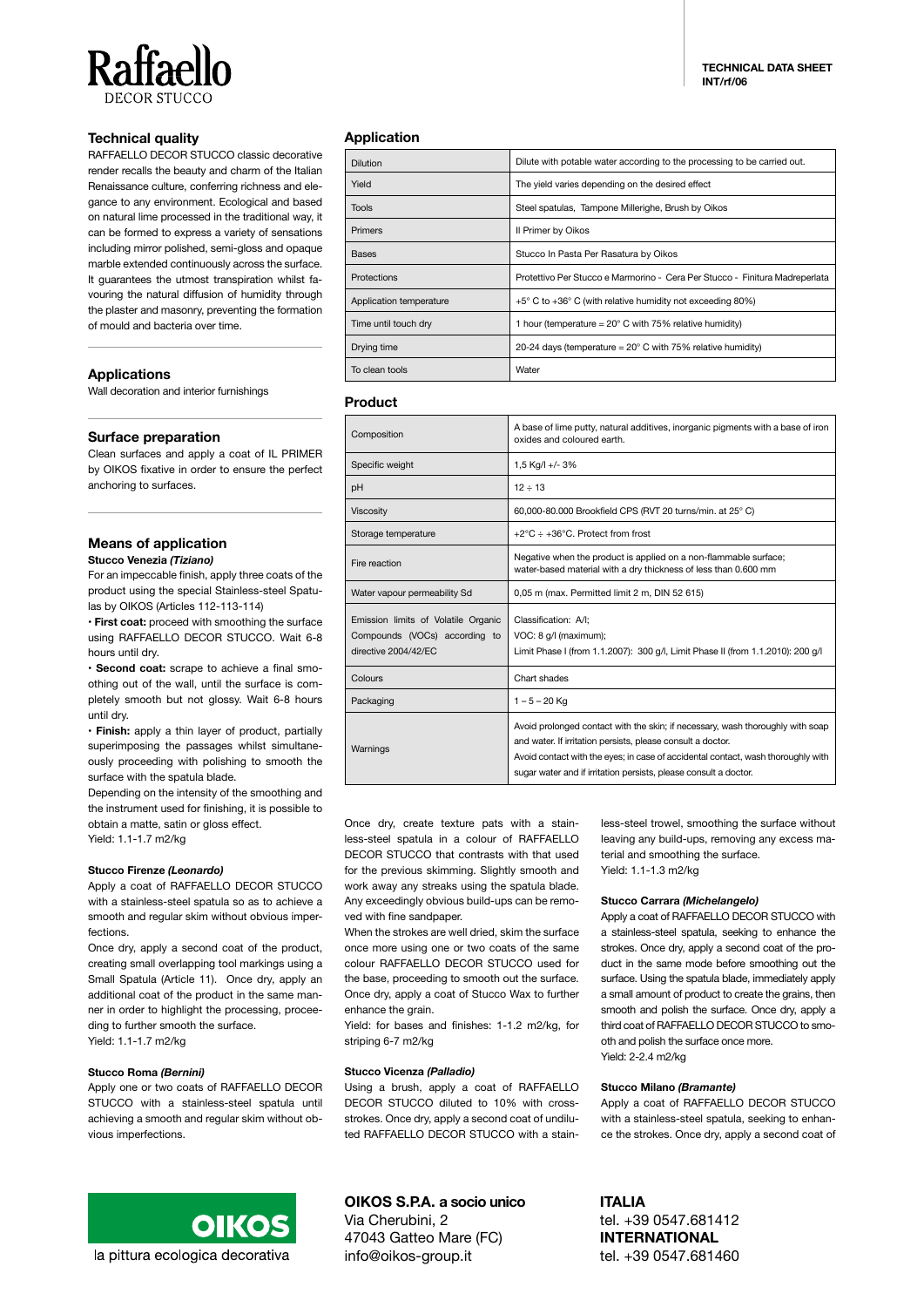

# **Technical quality**

RAFFAELLO DECOR STUCCO classic decorative render recalls the beauty and charm of the Italian Renaissance culture, conferring richness and elegance to any environment. Ecological and based on natural lime processed in the traditional way, it can be formed to express a variety of sensations including mirror polished, semi-gloss and opaque marble extended continuously across the surface. It guarantees the utmost transpiration whilst favouring the natural diffusion of humidity through the plaster and masonry, preventing the formation of mould and bacteria over time.

# **Applications**

Wall decoration and interior furnishings

# **Surface preparation**

Clean surfaces and apply a coat of IL PRIMER by OIKOS fixative in order to ensure the perfect anchoring to surfaces.

#### **Means of application Stucco Venezia** *(Tiziano)*

For an impeccable finish, apply three coats of the

product using the special Stainless-steel Spatulas by OIKOS (Articles 112-113-114)

• **First coat:** proceed with smoothing the surface using RAFFAELLO DECOR STUCCO. Wait 6-8 hours until dry.

• **Second coat:** scrape to achieve a final smoothing out of the wall, until the surface is completely smooth but not glossy. Wait 6-8 hours until dry.

• **Finish:** apply a thin layer of product, partially superimposing the passages whilst simultaneously proceeding with polishing to smooth the surface with the spatula blade.

Depending on the intensity of the smoothing and the instrument used for finishing, it is possible to obtain a matte, satin or gloss effect. Yield: 1.1-1.7 m2/kg

### **Stucco Firenze** *(Leonardo)*

Apply a coat of RAFFAELLO DECOR STUCCO with a stainless-steel spatula so as to achieve a smooth and regular skim without obvious imperfections.

Once dry, apply a second coat of the product, creating small overlapping tool markings using a Small Spatula (Article 11). Once dry, apply an additional coat of the product in the same manner in order to highlight the processing, proceeding to further smooth the surface.

Yield: 1.1-1.7 m2/kg

### **Stucco Roma** *(Bernini)*

Apply one or two coats of RAFFAELLO DECOR STUCCO with a stainless-steel spatula until achieving a smooth and regular skim without obvious imperfections.

# **Application**

| <b>Dilution</b>         | Dilute with potable water according to the processing to be carried out.     |
|-------------------------|------------------------------------------------------------------------------|
| Yield                   | The yield varies depending on the desired effect                             |
| <b>Tools</b>            | Steel spatulas, Tampone Millerighe, Brush by Oikos                           |
| <b>Primers</b>          | Il Primer by Oikos                                                           |
| <b>Bases</b>            | Stucco In Pasta Per Rasatura by Oikos                                        |
| Protections             | Protettivo Per Stucco e Marmorino - Cera Per Stucco - Finitura Madreperlata  |
| Application temperature | $+5^{\circ}$ C to $+36^{\circ}$ C (with relative humidity not exceeding 80%) |
| Time until touch dry    | 1 hour (temperature = $20^{\circ}$ C with 75% relative humidity)             |
| Drying time             | 20-24 days (temperature = $20^{\circ}$ C with 75% relative humidity)         |
| To clean tools          | Water                                                                        |

# **Product**

| Composition                                                                                  | A base of lime putty, natural additives, inorganic pigments with a base of iron<br>oxides and coloured earth.                                                                                                                                                                                         |
|----------------------------------------------------------------------------------------------|-------------------------------------------------------------------------------------------------------------------------------------------------------------------------------------------------------------------------------------------------------------------------------------------------------|
| Specific weight                                                                              | 1,5 Kg/l +/-3%                                                                                                                                                                                                                                                                                        |
| рH                                                                                           | $12 \div 13$                                                                                                                                                                                                                                                                                          |
| <b>Viscosity</b>                                                                             | 60,000-80.000 Brookfield CPS (RVT 20 turns/min. at 25° C)                                                                                                                                                                                                                                             |
| Storage temperature                                                                          | +2 $\degree$ C $\div$ +36 $\degree$ C. Protect from frost                                                                                                                                                                                                                                             |
| Fire reaction                                                                                | Negative when the product is applied on a non-flammable surface;<br>water-based material with a dry thickness of less than 0.600 mm                                                                                                                                                                   |
| Water vapour permeability Sd                                                                 | 0,05 m (max. Permitted limit 2 m, DIN 52 615)                                                                                                                                                                                                                                                         |
| Emission limits of Volatile Organic<br>Compounds (VOCs) according to<br>directive 2004/42/EC | Classification: A/I:<br>VOC: 8 g/l (maximum);<br>Limit Phase I (from 1.1.2007): 300 q/l, Limit Phase II (from 1.1.2010): 200 q/l                                                                                                                                                                      |
| Colours                                                                                      | Chart shades                                                                                                                                                                                                                                                                                          |
| Packaging                                                                                    | $1 - 5 - 20$ Kg                                                                                                                                                                                                                                                                                       |
| Warnings                                                                                     | Avoid prolonged contact with the skin; if necessary, wash thoroughly with soap<br>and water. If irritation persists, please consult a doctor.<br>Avoid contact with the eyes; in case of accidental contact, wash thoroughly with<br>sugar water and if irritation persists, please consult a doctor. |

Once dry, create texture pats with a stainless-steel spatula in a colour of RAFFAELLO DECOR STUCCO that contrasts with that used for the previous skimming. Slightly smooth and work away any streaks using the spatula blade. Any exceedingly obvious build-ups can be removed with fine sandpaper.

When the strokes are well dried, skim the surface once more using one or two coats of the same colour RAFFAELLO DECOR STUCCO used for the base, proceeding to smooth out the surface. Once dry, apply a coat of Stucco Wax to further enhance the grain.

Yield: for bases and finishes: 1-1.2 m2/kg, for striping 6-7 m2/kg

#### **Stucco Vicenza** *(Palladio)*

Using a brush, apply a coat of RAFFAELLO DECOR STUCCO diluted to 10% with crossstrokes. Once dry, apply a second coat of undiluted RAFFAELLO DECOR STUCCO with a stainless-steel trowel, smoothing the surface without leaving any build-ups, removing any excess material and smoothing the surface. Yield: 1.1-1.3 m2/kg

#### **Stucco Carrara** *(Michelangelo)*

Apply a coat of RAFFAELLO DECOR STUCCO with a stainless-steel spatula, seeking to enhance the strokes. Once dry, apply a second coat of the product in the same mode before smoothing out the surface. Using the spatula blade, immediately apply a small amount of product to create the grains, then smooth and polish the surface. Once dry, apply a third coat of RAFFAELLO DECOR STUCCO to smooth and polish the surface once more. Yield: 2-2.4 m2/kg

### **Stucco Milano** *(Bramante)*

Apply a coat of RAFFAELLO DECOR STUCCO with a stainless-steel spatula, seeking to enhance the strokes. Once dry, apply a second coat of

la pittura ecologica decorativa

# **OIKOS S.P.A. a socio unico**

Via Cherubini, 2 47043 Gatteo Mare (FC) info@oikos-group.it

**ITALIA** tel. +39 0547.681412

**INTERNATIONAL** tel. +39 0547.681460